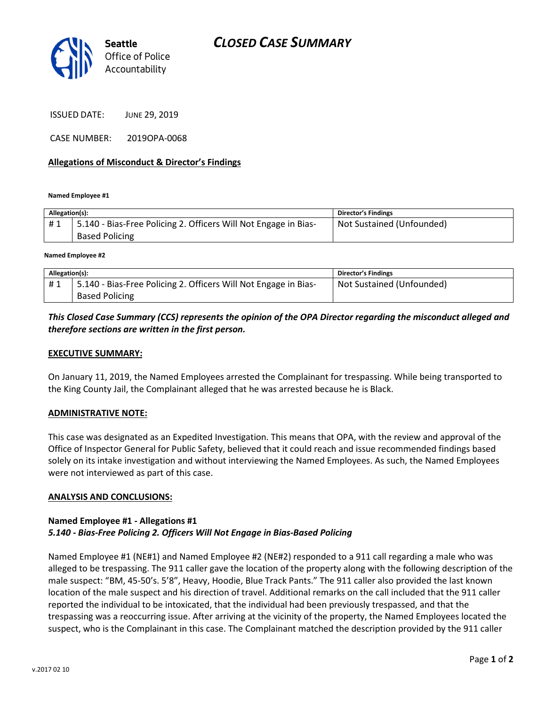

ISSUED DATE: JUNE 29, 2019

CASE NUMBER: 2019OPA-0068

### Allegations of Misconduct & Director's Findings

Named Employee #1

| Allegation(s): |                                                                 | <b>Director's Findings</b> |
|----------------|-----------------------------------------------------------------|----------------------------|
| #1             | 5.140 - Bias-Free Policing 2. Officers Will Not Engage in Bias- | Not Sustained (Unfounded)  |
|                | <b>Based Policing</b>                                           |                            |
|                |                                                                 |                            |

Named Employee #2

| Allegation(s): |                                                                 | <b>Director's Findings</b> |
|----------------|-----------------------------------------------------------------|----------------------------|
| #1             | 5.140 - Bias-Free Policing 2. Officers Will Not Engage in Bias- | Not Sustained (Unfounded)  |
|                | <b>Based Policing</b>                                           |                            |

## This Closed Case Summary (CCS) represents the opinion of the OPA Director regarding the misconduct alleged and therefore sections are written in the first person.

#### EXECUTIVE SUMMARY:

On January 11, 2019, the Named Employees arrested the Complainant for trespassing. While being transported to the King County Jail, the Complainant alleged that he was arrested because he is Black.

#### ADMINISTRATIVE NOTE:

This case was designated as an Expedited Investigation. This means that OPA, with the review and approval of the Office of Inspector General for Public Safety, believed that it could reach and issue recommended findings based solely on its intake investigation and without interviewing the Named Employees. As such, the Named Employees were not interviewed as part of this case.

#### ANALYSIS AND CONCLUSIONS:

#### Named Employee #1 - Allegations #1 5.140 - Bias-Free Policing 2. Officers Will Not Engage in Bias-Based Policing

Named Employee #1 (NE#1) and Named Employee #2 (NE#2) responded to a 911 call regarding a male who was alleged to be trespassing. The 911 caller gave the location of the property along with the following description of the male suspect: "BM, 45-50's. 5'8", Heavy, Hoodie, Blue Track Pants." The 911 caller also provided the last known location of the male suspect and his direction of travel. Additional remarks on the call included that the 911 caller reported the individual to be intoxicated, that the individual had been previously trespassed, and that the trespassing was a reoccurring issue. After arriving at the vicinity of the property, the Named Employees located the suspect, who is the Complainant in this case. The Complainant matched the description provided by the 911 caller